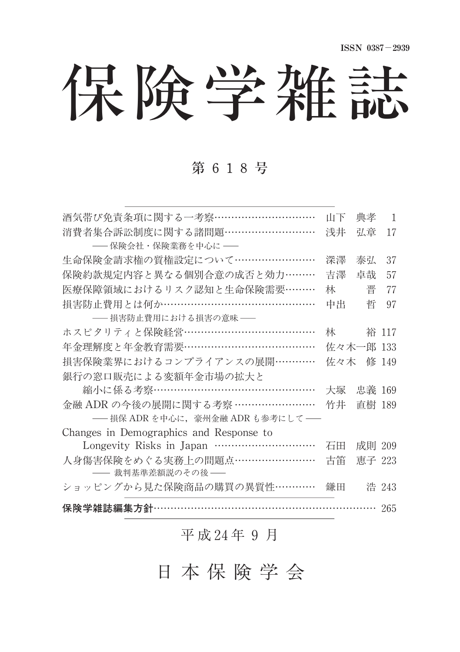# 保険学雑誌

#### 第 618号

| 損害防止費用とは何か………………………………………               | 中出一 | 哲          | 97    |  |  |
|-----------------------------------------|-----|------------|-------|--|--|
|                                         |     |            |       |  |  |
| -- 損害防止費用における損害の意味 --                   |     |            |       |  |  |
| ホスピタリティと保険経営 …………………………………              |     | 林    裕 117 |       |  |  |
| 年金理解度と年金教育需要…………………………………               |     | 佐々木一郎 133  |       |  |  |
| 損害保険業界におけるコンプライアンスの展開…………               |     | 佐々木 修 149  |       |  |  |
| 銀行の窓口販売による変額年金市場の拡大と                    |     |            |       |  |  |
| 縮小に係る考察………………………………………                  | 大塚  | 忠義 169     |       |  |  |
| 金融 ADR の今後の展開に関する考察 ……………………            | 竹井  | 直樹 189     |       |  |  |
| -- 損保 ADR を中心に、豪州金融 ADR も参考にして --       |     |            |       |  |  |
| Changes in Demographics and Response to |     |            |       |  |  |
|                                         | 石田  | 成則 209     |       |  |  |
| 人身傷害保険をめぐる実務上の問題点……………………               | 古笛  | 恵子 223     |       |  |  |
|                                         |     |            |       |  |  |
| ―― 裁判基準差額説のその後――                        |     |            |       |  |  |
| ショッピングから見た保険商品の購買の異質性…………               | 鎌田  |            | 浩 243 |  |  |
| 保険学雑誌編集方針………………………………………………………… 265     |     |            |       |  |  |
|                                         |     |            |       |  |  |

平 成 24年 9 月

日 本 保 険 学 会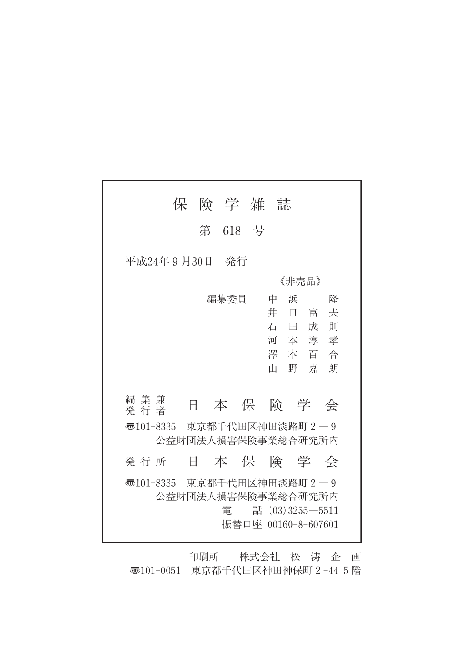|                                                   |   | 保険学雑誌 |       |                                                                  |                                             |  |
|---------------------------------------------------|---|-------|-------|------------------------------------------------------------------|---------------------------------------------|--|
|                                                   |   | 第     | 618 号 |                                                                  |                                             |  |
| 平成24年 9 月30日                                      |   | - 発行  |       |                                                                  |                                             |  |
|                                                   |   |       |       | 《非売品》                                                            |                                             |  |
| 編 集 兼<br>発行者                                      | 日 | 編集委員  |       | 中<br>浜<br>井口<br>石田<br>山野嘉<br>本保険学                                | 降<br>富<br>夫<br>成則<br>河本淳孝<br>澤本百合<br>朗<br>会 |  |
| न्5101-8335 東京都千代田区神田淡路町2-9<br>公益財団法人損害保険事業総合研究所内 |   |       |       |                                                                  |                                             |  |
| 発行所                                               | Ħ |       |       | 本保険学会                                                            |                                             |  |
| न्5101-8335 東京都千代田区神田淡路町2-9                       |   | 雷     |       | 公益財団法人損害保険事業総合研究所内<br>話 $(03)3255 - 5511$<br>振替口座 00160-8-607601 |                                             |  |
|                                                   |   |       |       |                                                                  |                                             |  |

印刷所 株式会社 松 涛 企 画 〠101-0051 東京都千代田区神田神保町2-445階